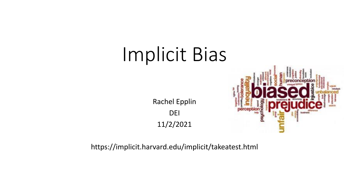# Implicit Bias

Rachel Epplin DEI 11/2/2021



https://implicit.harvard.edu/implicit/takeatest.html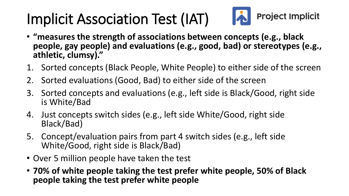#### **Project Implicit** Implicit Association Test (IAT)

- **"measures the strength of associations between concepts (e.g., black people, gay people) and evaluations (e.g., good, bad) or stereotypes (e.g., athletic, clumsy)."**
- 1. Sorted concepts (Black People, White People) to either side of the screen
- 2. Sorted evaluations (Good, Bad) to either side of the screen
- 3. Sorted concepts and evaluations (e.g., left side is Black/Good, right side is White/Bad
- 4. Just concepts switch sides (e.g., left side White/Good, right side Black/Bad)
- 5. Concept/evaluation pairs from part 4 switch sides (e.g., left side White/Good, right side is Black/Bad)
- Over 5 million people have taken the test
- **70% of white people taking the test prefer white people, 50% of Black people taking the test prefer white people**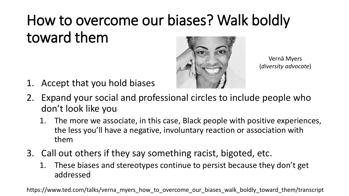# How to overcome our biases? Walk boldly toward them



Vernā Myers (*diversity advocate*)

- 1. Accept that you hold biases
- 2. Expand your social and professional circles to include people who don't look like you
	- 1. The more we associate, in this case, Black people with positive experiences, the less you'll have a negative, involuntary reaction or association with them
- 3. Call out others if they say something racist, bigoted, etc.
	- 1. These biases and stereotypes continue to persist because they don't get addressed

https://www.ted.com/talks/verna\_myers\_how\_to\_overcome\_our\_biases\_walk\_boldly\_toward\_them/transcript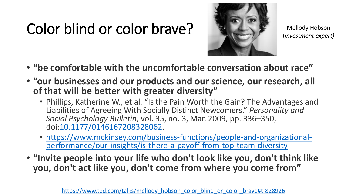## Color blind or color brave?



Mellody Hobson (*investment expert)*

- **"be comfortable with the uncomfortable conversation about race"**
- **"our businesses and our products and our science, our research, all of that will be better with greater diversity"**
	- Phillips, Katherine W., et al. "Is the Pain Worth the Gain? The Advantages and Liabilities of Agreeing With Socially Distinct Newcomers." *Personality and Social Psychology Bulletin*, vol. 35, no. 3, Mar. 2009, pp. 336–350, doi[:10.1177/0146167208328062](https://doi.org/10.1177/0146167208328062).
	- [https://www.mckinsey.com/business-functions/people-and-organizational](https://www.mckinsey.com/business-functions/people-and-organizational-performance/our-insights/is-there-a-payoff-from-top-team-diversity)performance/our-insights/is-there-a-payoff-from-top-team-diversity
- **"Invite people into your life who don't look like you, don't think like you, don't act like you, don't come from where you come from"**

https://www.ted.com/talks/mellody hobson\_color\_blind\_or\_color\_brave#t-828926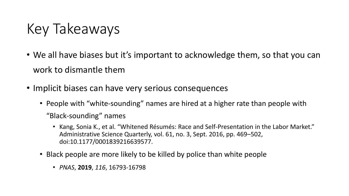### Key Takeaways

- We all have biases but it's important to acknowledge them, so that you can work to dismantle them
- Implicit biases can have very serious consequences
	- People with "white-sounding" names are hired at a higher rate than people with "Black-sounding" names
		- Kang, Sonia K., et al. "Whitened Résumés: Race and Self-Presentation in the Labor Market." Administrative Science Quarterly, vol. 61, no. 3, Sept. 2016, pp. 469–502, doi:10.1177/0001839216639577.
	- Black people are more likely to be killed by police than white people
		- *PNAS*, **2019**, *116*, 16793-16798